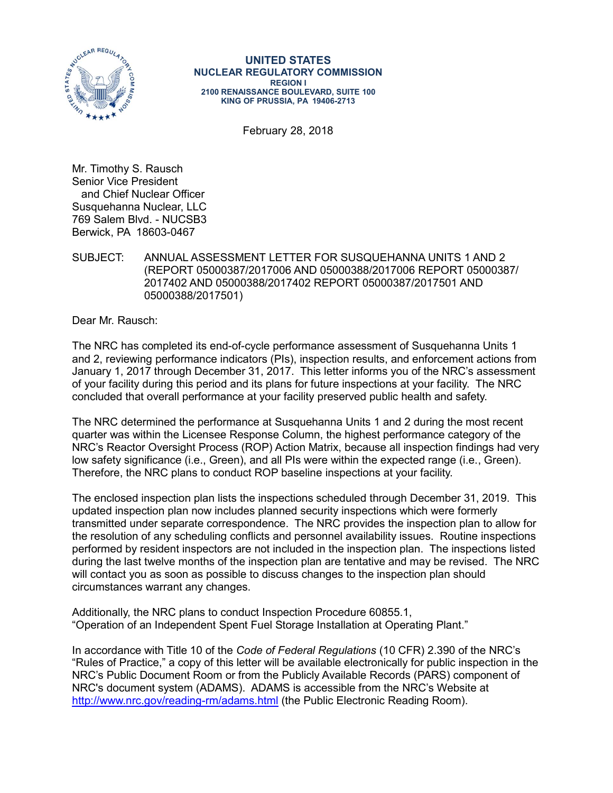

**UNITED STATES NUCLEAR REGULATORY COMMISSION REGION I 2100 RENAISSANCE BOULEVARD, SUITE 100 KING OF PRUSSIA, PA 19406-2713**

February 28, 2018

Mr. Timothy S. Rausch Senior Vice President and Chief Nuclear Officer Susquehanna Nuclear, LLC 769 Salem Blvd. - NUCSB3 Berwick, PA 18603-0467

SUBJECT: ANNUAL ASSESSMENT LETTER FOR SUSQUEHANNA UNITS 1 AND 2 (REPORT 05000387/2017006 AND 05000388/2017006 REPORT 05000387/ 2017402 AND 05000388/2017402 REPORT 05000387/2017501 AND 05000388/2017501)

Dear Mr. Rausch:

The NRC has completed its end-of-cycle performance assessment of Susquehanna Units 1 and 2, reviewing performance indicators (PIs), inspection results, and enforcement actions from January 1, 2017 through December 31, 2017. This letter informs you of the NRC's assessment of your facility during this period and its plans for future inspections at your facility. The NRC concluded that overall performance at your facility preserved public health and safety.

The NRC determined the performance at Susquehanna Units 1 and 2 during the most recent quarter was within the Licensee Response Column, the highest performance category of the NRC's Reactor Oversight Process (ROP) Action Matrix, because all inspection findings had very low safety significance (i.e., Green), and all PIs were within the expected range (i.e., Green). Therefore, the NRC plans to conduct ROP baseline inspections at your facility.

The enclosed inspection plan lists the inspections scheduled through December 31, 2019. This updated inspection plan now includes planned security inspections which were formerly transmitted under separate correspondence. The NRC provides the inspection plan to allow for the resolution of any scheduling conflicts and personnel availability issues. Routine inspections performed by resident inspectors are not included in the inspection plan. The inspections listed during the last twelve months of the inspection plan are tentative and may be revised. The NRC will contact you as soon as possible to discuss changes to the inspection plan should circumstances warrant any changes.

Additionally, the NRC plans to conduct Inspection Procedure 60855.1, "Operation of an Independent Spent Fuel Storage Installation at Operating Plant."

In accordance with Title 10 of the *Code of Federal Regulations* (10 CFR) 2.390 of the NRC's "Rules of Practice," a copy of this letter will be available electronically for public inspection in the NRC's Public Document Room or from the Publicly Available Records (PARS) component of NRC's document system (ADAMS). ADAMS is accessible from the NRC's Website at <http://www.nrc.gov/reading-rm/adams.html>(the Public Electronic Reading Room).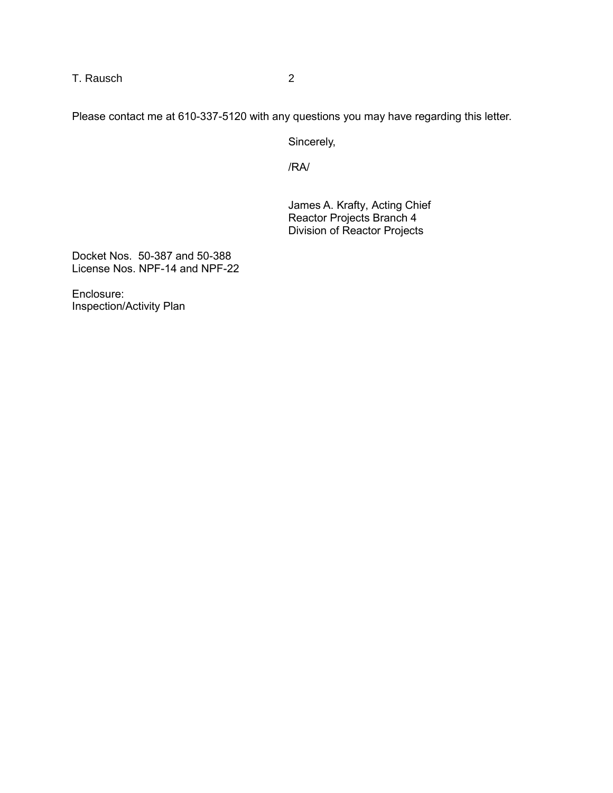T. Rausch 2

Please contact me at 610-337-5120 with any questions you may have regarding this letter.

Sincerely,

/RA/

James A. Krafty, Acting Chief Reactor Projects Branch 4 Division of Reactor Projects

Docket Nos. 50-387 and 50-388 License Nos. NPF-14 and NPF-22

Enclosure: Inspection/Activity Plan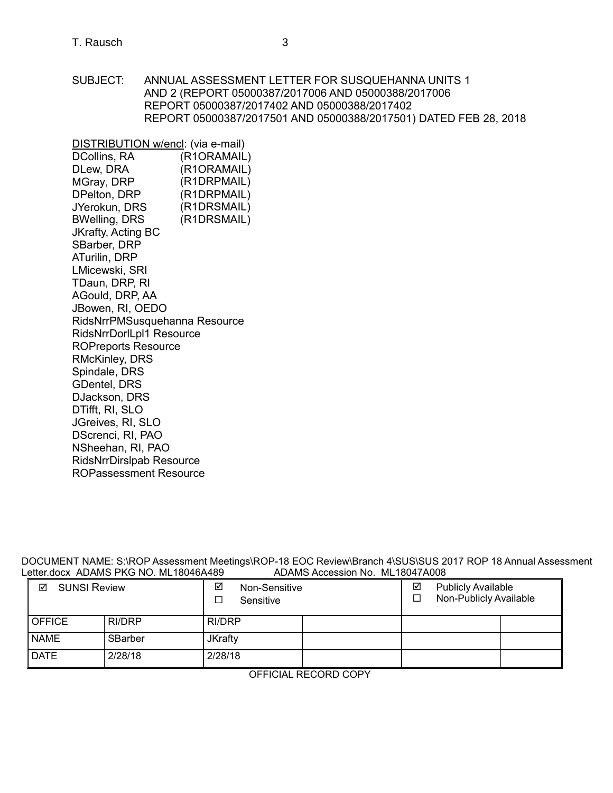SUBJECT: ANNUAL ASSESSMENT LETTER FOR SUSQUEHANNA UNITS 1 AND 2 (REPORT 05000387/2017006 AND 05000388/2017006 REPORT 05000387/2017402 AND 05000388/2017402 REPORT 05000387/2017501 AND 05000388/2017501) DATED FEB 28, 2018

DISTRIBUTION w/encl: (via e-mail) (R1ORAMAIL) (R1ORAMAIL) (R1DRPMAIL) (R1DRPMAIL) (R1DRSMAIL) DCollins, RA DLew, DRA MGray, DRP DPelton, DRP JYerokun, DRS BWelling, DRS (R1DRSMAIL) JKrafty, Acting BC SBarber, DRP ATurilin, DRP LMicewski, SRI TDaun, DRP, RI AGould, DRP, AA JBowen, RI, OEDO RidsNrrPMSusquehanna Resource RidsNrrDorlLpl1 Resource ROPreports Resource RMcKinley, DRS Spindale, DRS GDentel, DRS DJackson, DRS DTifft, RI, SLO JGreives, RI, SLO DScrenci, RI, PAO NSheehan, RI, PAO [RidsNrrDirslpab Resource](mailto:RidsNrrDirslpab@nrc.gov)  ROPassessment Resource

DOCUMENT NAME: S:\ROP Assessment Meetings\ROP-18 EOC Review\Branch 4\SUS\SUS 2017 ROP 18 Annual Assessment Letter.docx ADAMS PKG NO. ML18046A489 <br>Letter.docx ADAMS PKG NO. ML18046A489 ADAMS Accession No. ML18047A008 Letter.docx ADAMS PKG NO. ML18046A489

| ☑<br><b>SUNSI Review</b> |         | ☑<br>Non-Sensitive<br>Sensitive |  | ⊻<br>□               | <b>Publicly Available</b><br>Non-Publicly Available |  |  |
|--------------------------|---------|---------------------------------|--|----------------------|-----------------------------------------------------|--|--|
| <b>OFFICE</b>            | RI/DRP  | RI/DRP                          |  |                      |                                                     |  |  |
| <b>NAME</b>              | SBarber | <b>JKrafty</b>                  |  |                      |                                                     |  |  |
| <b>DATE</b>              | 2/28/18 | 2/28/18                         |  |                      |                                                     |  |  |
|                          |         |                                 |  | AFFICIAL BEGARD GABY |                                                     |  |  |

OFFICIAL RECORD COPY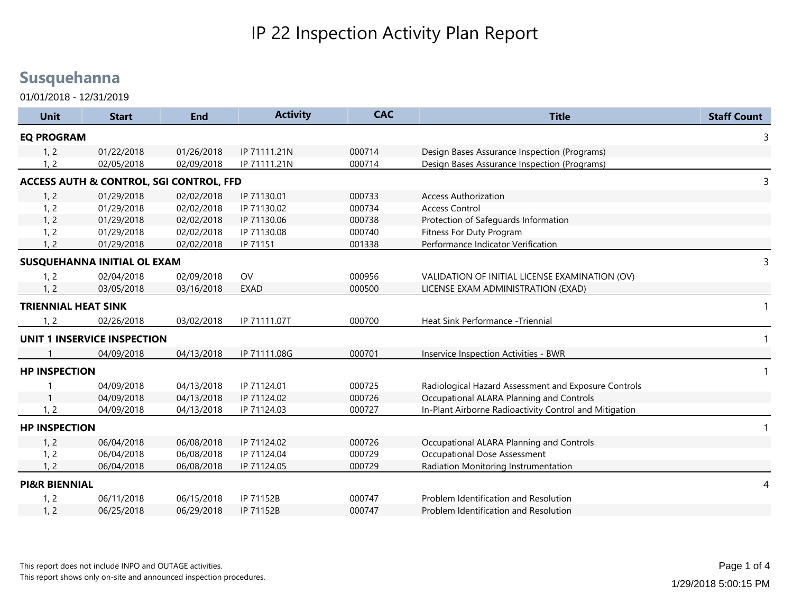01/01/2018 - 12/31/2019

| <b>Unit</b>                | <b>Start</b>                                       | <b>End</b> | <b>Activity</b> | <b>CAC</b> | <b>Title</b>                                           | <b>Staff Count</b> |
|----------------------------|----------------------------------------------------|------------|-----------------|------------|--------------------------------------------------------|--------------------|
| <b>EQ PROGRAM</b>          |                                                    |            |                 |            |                                                        | 3                  |
| 1, 2                       | 01/22/2018                                         | 01/26/2018 | IP 71111.21N    | 000714     | Design Bases Assurance Inspection (Programs)           |                    |
| 1, 2                       | 02/05/2018                                         | 02/09/2018 | IP 71111.21N    | 000714     | Design Bases Assurance Inspection (Programs)           |                    |
|                            | <b>ACCESS AUTH &amp; CONTROL, SGI CONTROL, FFD</b> |            |                 |            |                                                        | 3                  |
| 1, 2                       | 01/29/2018                                         | 02/02/2018 | IP 71130.01     | 000733     | <b>Access Authorization</b>                            |                    |
| 1, 2                       | 01/29/2018                                         | 02/02/2018 | IP 71130.02     | 000734     | <b>Access Control</b>                                  |                    |
| 1, 2                       | 01/29/2018                                         | 02/02/2018 | IP 71130.06     | 000738     | Protection of Safeguards Information                   |                    |
| 1, 2                       | 01/29/2018                                         | 02/02/2018 | IP 71130.08     | 000740     | Fitness For Duty Program                               |                    |
| 1, 2                       | 01/29/2018                                         | 02/02/2018 | IP 71151        | 001338     | Performance Indicator Verification                     |                    |
|                            | SUSQUEHANNA INITIAL OL EXAM                        |            |                 |            |                                                        | 3                  |
| 1, 2                       | 02/04/2018                                         | 02/09/2018 | OV              | 000956     | VALIDATION OF INITIAL LICENSE EXAMINATION (OV)         |                    |
| . 2                        | 03/05/2018                                         | 03/16/2018 | <b>EXAD</b>     | 000500     | LICENSE EXAM ADMINISTRATION (EXAD)                     |                    |
| <b>TRIENNIAL HEAT SINK</b> |                                                    |            |                 |            |                                                        | 1                  |
| 1, 2                       | 02/26/2018                                         | 03/02/2018 | IP 71111.07T    | 000700     | Heat Sink Performance - Triennial                      |                    |
|                            | UNIT 1 INSERVICE INSPECTION                        |            |                 |            |                                                        | -1                 |
|                            | 04/09/2018                                         | 04/13/2018 | IP 71111.08G    | 000701     | Inservice Inspection Activities - BWR                  |                    |
| <b>HP INSPECTION</b>       |                                                    |            |                 |            |                                                        | $\mathbf{1}$       |
|                            | 04/09/2018                                         | 04/13/2018 | IP 71124.01     | 000725     | Radiological Hazard Assessment and Exposure Controls   |                    |
|                            | 04/09/2018                                         | 04/13/2018 | IP 71124.02     | 000726     | Occupational ALARA Planning and Controls               |                    |
| 1, 2                       | 04/09/2018                                         | 04/13/2018 | IP 71124.03     | 000727     | In-Plant Airborne Radioactivity Control and Mitigation |                    |
| <b>HP INSPECTION</b>       |                                                    |            |                 |            |                                                        |                    |
| 1, 2                       | 06/04/2018                                         | 06/08/2018 | IP 71124.02     | 000726     | Occupational ALARA Planning and Controls               |                    |
| 1, 2                       | 06/04/2018                                         | 06/08/2018 | IP 71124.04     | 000729     | <b>Occupational Dose Assessment</b>                    |                    |
| 1, 2                       | 06/04/2018                                         | 06/08/2018 | IP 71124.05     | 000729     | Radiation Monitoring Instrumentation                   |                    |
| <b>PI&amp;R BIENNIAL</b>   |                                                    |            |                 |            |                                                        | 4                  |
| 1, 2                       | 06/11/2018                                         | 06/15/2018 | IP 71152B       | 000747     | Problem Identification and Resolution                  |                    |
| 1, 2                       | 06/25/2018                                         | 06/29/2018 | IP 71152B       | 000747     | Problem Identification and Resolution                  |                    |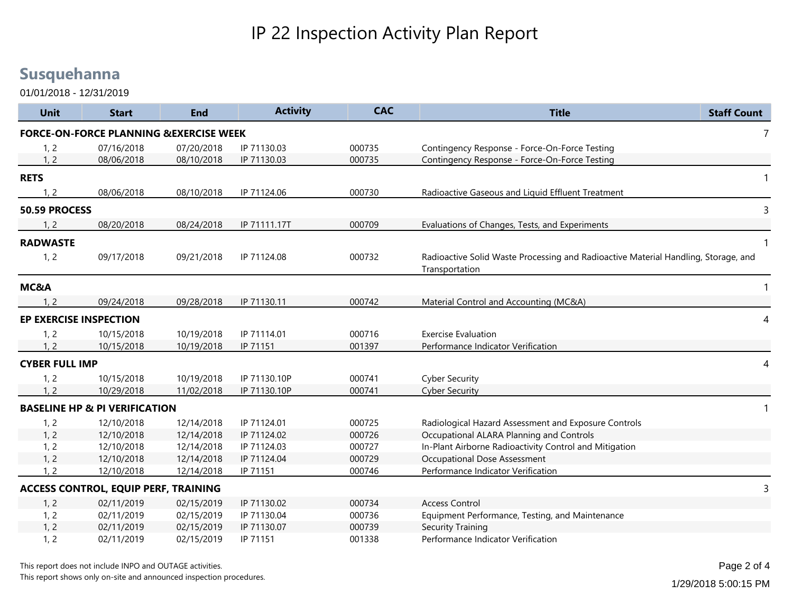01/01/2018 - 12/31/2019

| <b>Unit</b>           | <b>Start</b>                                      | <b>End</b> | <b>Activity</b> | <b>CAC</b> | <b>Title</b>                                                                                         | <b>Staff Count</b> |
|-----------------------|---------------------------------------------------|------------|-----------------|------------|------------------------------------------------------------------------------------------------------|--------------------|
|                       | <b>FORCE-ON-FORCE PLANNING &amp;EXERCISE WEEK</b> |            |                 |            |                                                                                                      | 7                  |
| 1, 2                  | 07/16/2018                                        | 07/20/2018 | IP 71130.03     | 000735     | Contingency Response - Force-On-Force Testing                                                        |                    |
| 1, 2                  | 08/06/2018                                        | 08/10/2018 | IP 71130.03     | 000735     | Contingency Response - Force-On-Force Testing                                                        |                    |
| <b>RETS</b>           |                                                   |            |                 |            |                                                                                                      | $\mathbf 1$        |
| 1, 2                  | 08/06/2018                                        | 08/10/2018 | IP 71124.06     | 000730     | Radioactive Gaseous and Liquid Effluent Treatment                                                    |                    |
| 50.59 PROCESS         |                                                   |            |                 |            |                                                                                                      | 3                  |
| 1, 2                  | 08/20/2018                                        | 08/24/2018 | IP 71111.17T    | 000709     | Evaluations of Changes, Tests, and Experiments                                                       |                    |
| <b>RADWASTE</b>       |                                                   |            |                 |            |                                                                                                      | $\mathbf{1}$       |
| 1, 2                  | 09/17/2018                                        | 09/21/2018 | IP 71124.08     | 000732     | Radioactive Solid Waste Processing and Radioactive Material Handling, Storage, and<br>Transportation |                    |
| MC&A                  |                                                   |            |                 |            |                                                                                                      | 1                  |
| 1, 2                  | 09/24/2018                                        | 09/28/2018 | IP 71130.11     | 000742     | Material Control and Accounting (MC&A)                                                               |                    |
|                       | <b>EP EXERCISE INSPECTION</b>                     |            |                 |            |                                                                                                      | 4                  |
| 1, 2                  | 10/15/2018                                        | 10/19/2018 | IP 71114.01     | 000716     | <b>Exercise Evaluation</b>                                                                           |                    |
| 1, 2                  | 10/15/2018                                        | 10/19/2018 | IP 71151        | 001397     | Performance Indicator Verification                                                                   |                    |
| <b>CYBER FULL IMP</b> |                                                   |            |                 |            |                                                                                                      | 4                  |
| 1, 2                  | 10/15/2018                                        | 10/19/2018 | IP 71130.10P    | 000741     | <b>Cyber Security</b>                                                                                |                    |
| 1, 2                  | 10/29/2018                                        | 11/02/2018 | IP 71130.10P    | 000741     | <b>Cyber Security</b>                                                                                |                    |
|                       | <b>BASELINE HP &amp; PI VERIFICATION</b>          |            |                 |            |                                                                                                      | 1                  |
| 1, 2                  | 12/10/2018                                        | 12/14/2018 | IP 71124.01     | 000725     | Radiological Hazard Assessment and Exposure Controls                                                 |                    |
| 1, 2                  | 12/10/2018                                        | 12/14/2018 | IP 71124.02     | 000726     | Occupational ALARA Planning and Controls                                                             |                    |
| 1, 2                  | 12/10/2018                                        | 12/14/2018 | IP 71124.03     | 000727     | In-Plant Airborne Radioactivity Control and Mitigation                                               |                    |
| 1, 2                  | 12/10/2018                                        | 12/14/2018 | IP 71124.04     | 000729     | Occupational Dose Assessment                                                                         |                    |
| 1, 2                  | 12/10/2018                                        | 12/14/2018 | IP 71151        | 000746     | Performance Indicator Verification                                                                   |                    |
|                       | <b>ACCESS CONTROL, EQUIP PERF, TRAINING</b>       |            |                 |            |                                                                                                      | 3                  |
| 1, 2                  | 02/11/2019                                        | 02/15/2019 | IP 71130.02     | 000734     | <b>Access Control</b>                                                                                |                    |
| 1, 2                  | 02/11/2019                                        | 02/15/2019 | IP 71130.04     | 000736     | Equipment Performance, Testing, and Maintenance                                                      |                    |
| 1, 2                  | 02/11/2019                                        | 02/15/2019 | IP 71130.07     | 000739     | <b>Security Training</b>                                                                             |                    |
| 1, 2                  | 02/11/2019                                        | 02/15/2019 | IP 71151        | 001338     | Performance Indicator Verification                                                                   |                    |

This report shows only on-site and announced inspection procedures.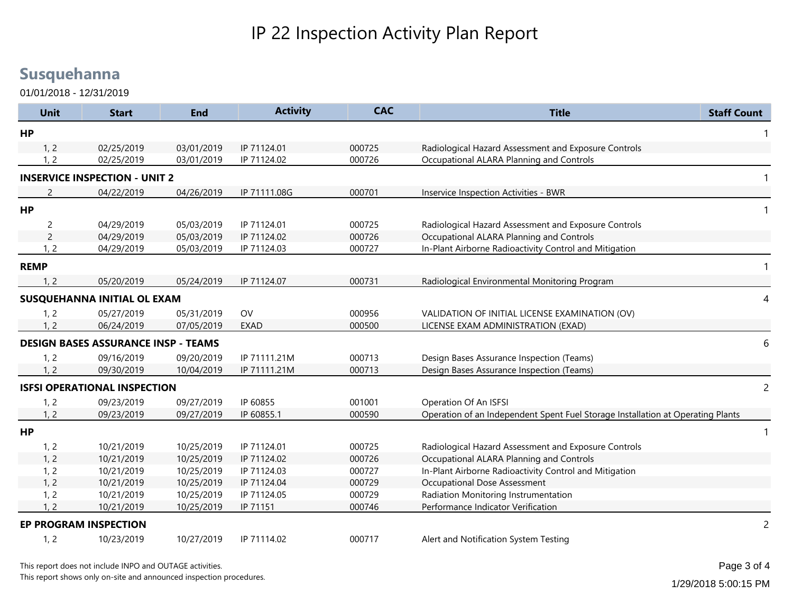01/01/2018 - 12/31/2019

| <b>Unit</b>    | <b>Start</b>                               | <b>End</b> | <b>Activity</b> | <b>CAC</b> | <b>Title</b>                                                                    | <b>Staff Count</b> |
|----------------|--------------------------------------------|------------|-----------------|------------|---------------------------------------------------------------------------------|--------------------|
| <b>HP</b>      |                                            |            |                 |            |                                                                                 |                    |
| 1, 2           | 02/25/2019                                 | 03/01/2019 | IP 71124.01     | 000725     | Radiological Hazard Assessment and Exposure Controls                            |                    |
| 1, 2           | 02/25/2019                                 | 03/01/2019 | IP 71124.02     | 000726     | Occupational ALARA Planning and Controls                                        |                    |
|                | <b>INSERVICE INSPECTION - UNIT 2</b>       |            |                 |            |                                                                                 |                    |
| 2              | 04/22/2019                                 | 04/26/2019 | IP 71111.08G    | 000701     | Inservice Inspection Activities - BWR                                           |                    |
| HP             |                                            |            |                 |            |                                                                                 |                    |
| $\overline{c}$ | 04/29/2019                                 | 05/03/2019 | IP 71124.01     | 000725     | Radiological Hazard Assessment and Exposure Controls                            |                    |
| $\overline{2}$ | 04/29/2019                                 | 05/03/2019 | IP 71124.02     | 000726     | Occupational ALARA Planning and Controls                                        |                    |
| 1, 2           | 04/29/2019                                 | 05/03/2019 | IP 71124.03     | 000727     | In-Plant Airborne Radioactivity Control and Mitigation                          |                    |
| <b>REMP</b>    |                                            |            |                 |            |                                                                                 |                    |
| 1.2            | 05/20/2019                                 | 05/24/2019 | IP 71124.07     | 000731     | Radiological Environmental Monitoring Program                                   |                    |
|                | SUSQUEHANNA INITIAL OL EXAM                |            |                 |            |                                                                                 | 4                  |
| 1, 2           | 05/27/2019                                 | 05/31/2019 | OV              | 000956     | VALIDATION OF INITIAL LICENSE EXAMINATION (OV)                                  |                    |
| 1, 2           | 06/24/2019                                 | 07/05/2019 | <b>EXAD</b>     | 000500     | LICENSE EXAM ADMINISTRATION (EXAD)                                              |                    |
|                | <b>DESIGN BASES ASSURANCE INSP - TEAMS</b> |            |                 |            |                                                                                 | 6                  |
| 1, 2           | 09/16/2019                                 | 09/20/2019 | IP 71111.21M    | 000713     | Design Bases Assurance Inspection (Teams)                                       |                    |
| 1.2            | 09/30/2019                                 | 10/04/2019 | IP 71111.21M    | 000713     | Design Bases Assurance Inspection (Teams)                                       |                    |
|                | <b>ISFSI OPERATIONAL INSPECTION</b>        |            |                 |            |                                                                                 | $\overline{c}$     |
| 1, 2           | 09/23/2019                                 | 09/27/2019 | IP 60855        | 001001     | Operation Of An ISFSI                                                           |                    |
| 1, 2           | 09/23/2019                                 | 09/27/2019 | IP 60855.1      | 000590     | Operation of an Independent Spent Fuel Storage Installation at Operating Plants |                    |
| <b>HP</b>      |                                            |            |                 |            |                                                                                 |                    |
| 1, 2           | 10/21/2019                                 | 10/25/2019 | IP 71124.01     | 000725     | Radiological Hazard Assessment and Exposure Controls                            |                    |
| 1, 2           | 10/21/2019                                 | 10/25/2019 | IP 71124.02     | 000726     | Occupational ALARA Planning and Controls                                        |                    |
| 1, 2           | 10/21/2019                                 | 10/25/2019 | IP 71124.03     | 000727     | In-Plant Airborne Radioactivity Control and Mitigation                          |                    |
| 1, 2           | 10/21/2019                                 | 10/25/2019 | IP 71124.04     | 000729     | <b>Occupational Dose Assessment</b>                                             |                    |
| 1, 2           | 10/21/2019                                 | 10/25/2019 | IP 71124.05     | 000729     | Radiation Monitoring Instrumentation                                            |                    |
| 1, 2           | 10/21/2019                                 | 10/25/2019 | IP 71151        | 000746     | Performance Indicator Verification                                              |                    |
|                | EP PROGRAM INSPECTION                      |            |                 |            |                                                                                 | $\overline{c}$     |
| 1, 2           | 10/23/2019                                 | 10/27/2019 | IP 71114.02     | 000717     | Alert and Notification System Testing                                           |                    |